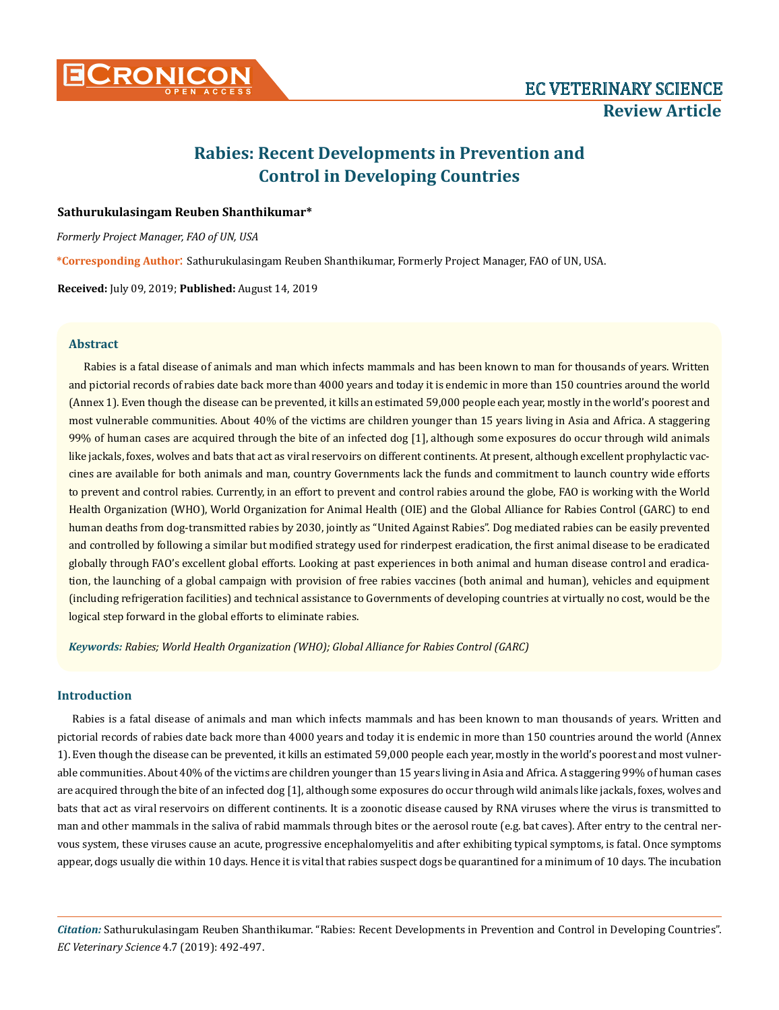

# **Rabies: Recent Developments in Prevention and Control in Developing Countries**

# **Sathurukulasingam Reuben Shanthikumar\***

*Formerly Project Manager, FAO of UN, USA*

**\*Corresponding Author**: Sathurukulasingam Reuben Shanthikumar, Formerly Project Manager, FAO of UN, USA.

**Received:** July 09, 2019; **Published:** August 14, 2019

## **Abstract**

Rabies is a fatal disease of animals and man which infects mammals and has been known to man for thousands of years. Written and pictorial records of rabies date back more than 4000 years and today it is endemic in more than 150 countries around the world (Annex 1). Even though the disease can be prevented, it kills an estimated 59,000 people each year, mostly in the world's poorest and most vulnerable communities. About 40% of the victims are children younger than 15 years living in Asia and Africa. A staggering 99% of human cases are acquired through the bite of an infected dog [1], although some exposures do occur through wild animals like jackals, foxes, wolves and bats that act as viral reservoirs on different continents. At present, although excellent prophylactic vaccines are available for both animals and man, country Governments lack the funds and commitment to launch country wide efforts to prevent and control rabies. Currently, in an effort to prevent and control rabies around the globe, FAO is working with the World Health Organization (WHO), World Organization for Animal Health (OIE) and the Global Alliance for Rabies Control (GARC) to end human deaths from dog-transmitted rabies by 2030, jointly as "United Against Rabies". Dog mediated rabies can be easily prevented and controlled by following a similar but modified strategy used for rinderpest eradication, the first animal disease to be eradicated globally through FAO's excellent global efforts. Looking at past experiences in both animal and human disease control and eradication, the launching of a global campaign with provision of free rabies vaccines (both animal and human), vehicles and equipment (including refrigeration facilities) and technical assistance to Governments of developing countries at virtually no cost, would be the logical step forward in the global efforts to eliminate rabies.

*Keywords: Rabies; World Health Organization (WHO); Global Alliance for Rabies Control (GARC)*

# **Introduction**

Rabies is a fatal disease of animals and man which infects mammals and has been known to man thousands of years. Written and pictorial records of rabies date back more than 4000 years and today it is endemic in more than 150 countries around the world (Annex 1). Even though the disease can be prevented, it kills an estimated 59,000 people each year, mostly in the world's poorest and most vulnerable communities. About 40% of the victims are children younger than 15 years living in Asia and Africa. A staggering 99% of human cases are acquired through the bite of an infected dog [1], although some exposures do occur through wild animals like jackals, foxes, wolves and bats that act as viral reservoirs on different continents. It is a zoonotic disease caused by RNA viruses where the virus is transmitted to man and other mammals in the saliva of rabid mammals through bites or the aerosol route (e.g. bat caves). After entry to the central nervous system, these viruses cause an acute, progressive encephalomyelitis and after exhibiting typical symptoms, is fatal. Once symptoms appear, dogs usually die within 10 days. Hence it is vital that rabies suspect dogs be quarantined for a minimum of 10 days. The incubation

*Citation:* Sathurukulasingam Reuben Shanthikumar. "Rabies: Recent Developments in Prevention and Control in Developing Countries". *EC Veterinary Science* 4.7 (2019): 492-497.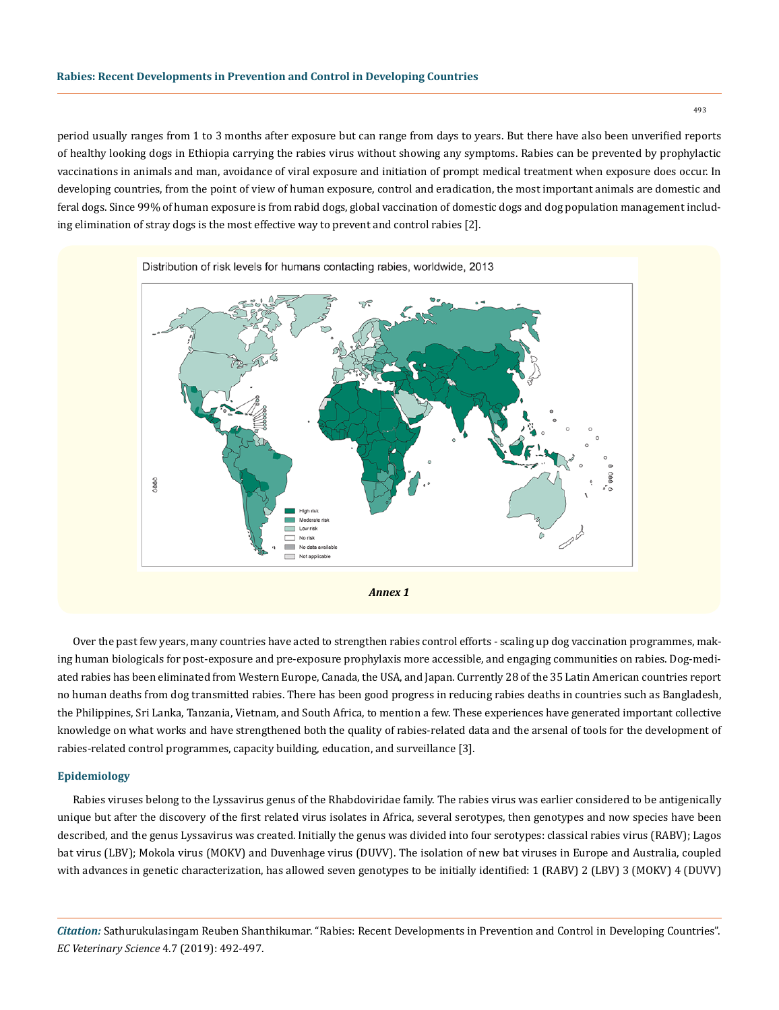period usually ranges from 1 to 3 months after exposure but can range from days to years. But there have also been unverified reports of healthy looking dogs in Ethiopia carrying the rabies virus without showing any symptoms. Rabies can be prevented by prophylactic vaccinations in animals and man, avoidance of viral exposure and initiation of prompt medical treatment when exposure does occur. In developing countries, from the point of view of human exposure, control and eradication, the most important animals are domestic and feral dogs. Since 99% of human exposure is from rabid dogs, global vaccination of domestic dogs and dog population management including elimination of stray dogs is the most effective way to prevent and control rabies [2].



Over the past few years, many countries have acted to strengthen rabies control efforts - scaling up dog vaccination programmes, making human biologicals for post-exposure and pre-exposure prophylaxis more accessible, and engaging communities on rabies. Dog-mediated rabies has been eliminated from Western Europe, Canada, the USA, and Japan. Currently 28 of the 35 Latin American countries report no human deaths from dog transmitted rabies. There has been good progress in reducing rabies deaths in countries such as Bangladesh, the Philippines, Sri Lanka, Tanzania, Vietnam, and South Africa, to mention a few. These experiences have generated important collective knowledge on what works and have strengthened both the quality of rabies-related data and the arsenal of tools for the development of rabies-related control programmes, capacity building, education, and surveillance [3].

## **Epidemiology**

Rabies viruses belong to the Lyssavirus genus of the Rhabdoviridae family. The rabies virus was earlier considered to be antigenically unique but after the discovery of the first related virus isolates in Africa, several serotypes, then genotypes and now species have been described, and the genus Lyssavirus was created. Initially the genus was divided into four serotypes: classical rabies virus (RABV); Lagos bat virus (LBV); Mokola virus (MOKV) and Duvenhage virus (DUVV). The isolation of new bat viruses in Europe and Australia, coupled with advances in genetic characterization, has allowed seven genotypes to be initially identified: 1 (RABV) 2 (LBV) 3 (MOKV) 4 (DUVV)

*Citation:* Sathurukulasingam Reuben Shanthikumar. "Rabies: Recent Developments in Prevention and Control in Developing Countries". *EC Veterinary Science* 4.7 (2019): 492-497.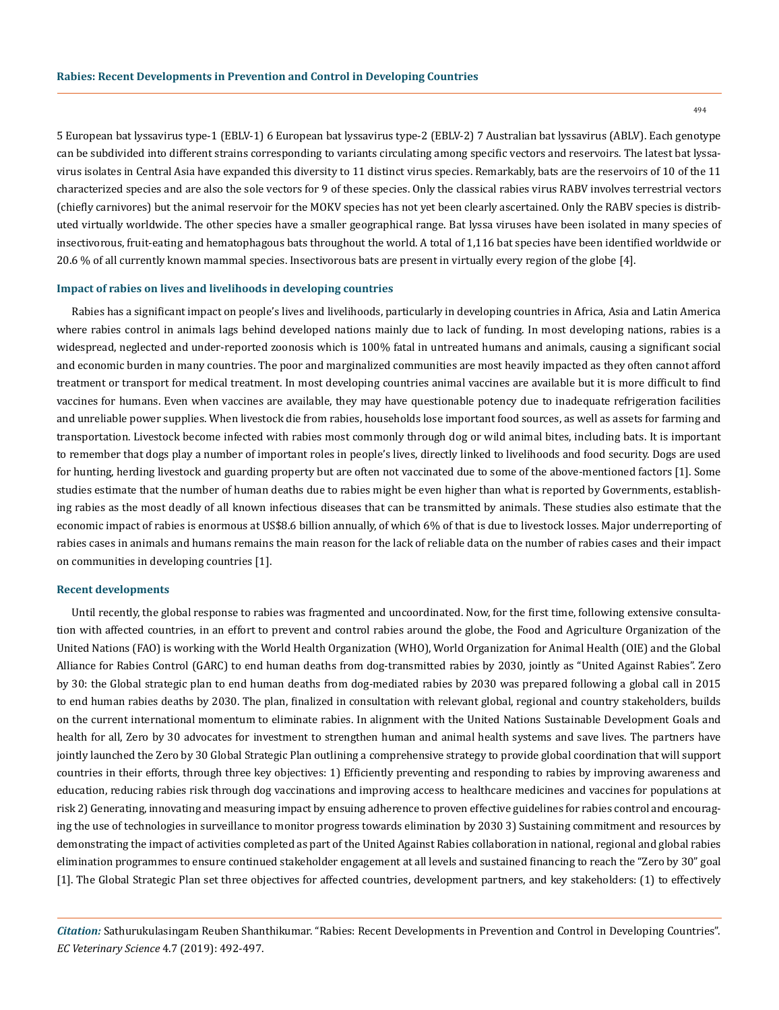5 European bat lyssavirus type-1 (EBLV-1) 6 European bat lyssavirus type-2 (EBLV-2) 7 Australian bat lyssavirus (ABLV). Each genotype can be subdivided into different strains corresponding to variants circulating among specific vectors and reservoirs. The latest bat lyssavirus isolates in Central Asia have expanded this diversity to 11 distinct virus species. Remarkably, bats are the reservoirs of 10 of the 11 characterized species and are also the sole vectors for 9 of these species. Only the classical rabies virus RABV involves terrestrial vectors (chiefly carnivores) but the animal reservoir for the MOKV species has not yet been clearly ascertained. Only the RABV species is distributed virtually worldwide. The other species have a smaller geographical range. Bat lyssa viruses have been isolated in many species of insectivorous, fruit-eating and hematophagous bats throughout the world. A total of 1,116 bat species have been identified worldwide or 20.6 % of all currently known mammal species. Insectivorous bats are present in virtually every region of the globe [4].

#### **Impact of rabies on lives and livelihoods in developing countries**

Rabies has a significant impact on people's lives and livelihoods, particularly in developing countries in Africa, Asia and Latin America where rabies control in animals lags behind developed nations mainly due to lack of funding. In most developing nations, rabies is a widespread, neglected and under-reported zoonosis which is 100% fatal in untreated humans and animals, causing a significant social and economic burden in many countries. The poor and marginalized communities are most heavily impacted as they often cannot afford treatment or transport for medical treatment. In most developing countries animal vaccines are available but it is more difficult to find vaccines for humans. Even when vaccines are available, they may have questionable potency due to inadequate refrigeration facilities and unreliable power supplies. When livestock die from rabies, households lose important food sources, as well as assets for farming and transportation. Livestock become infected with rabies most commonly through dog or wild animal bites, including bats. It is important to remember that dogs play a number of important roles in people's lives, directly linked to livelihoods and food security. Dogs are used for hunting, herding livestock and guarding property but are often not vaccinated due to some of the above-mentioned factors [1]. Some studies estimate that the number of human deaths due to rabies might be even higher than what is reported by Governments, establishing rabies as the most deadly of all known infectious diseases that can be transmitted by animals. These studies also estimate that the economic impact of rabies is enormous at US\$8.6 billion annually, of which 6% of that is due to livestock losses. Major underreporting of rabies cases in animals and humans remains the main reason for the lack of reliable data on the number of rabies cases and their impact on communities in developing countries [1].

## **Recent developments**

Until recently, the global response to rabies was fragmented and uncoordinated. Now, for the first time, following extensive consultation with affected countries, in an effort to prevent and control rabies around the globe, the Food and Agriculture Organization of the United Nations (FAO) is working with the World Health Organization (WHO), World Organization for Animal Health (OIE) and the Global Alliance for Rabies Control (GARC) to end human deaths from dog-transmitted rabies by 2030, jointly as "United Against Rabies". [Zero](http://www.fao.org/3/I8956EN/I8956en.pdf)  [by 30: the Global strategic plan to end human deaths from dog-mediated rabies by 2030](http://www.fao.org/3/I8956EN/I8956en.pdf) was prepared following a global call in 2015 to end human rabies deaths by 2030. The plan, finalized in consultation with relevant global, regional and country stakeholders, builds on the current international momentum to eliminate rabies. In alignment with the United Nations Sustainable Development Goals and health for all, Zero by 30 advocates for investment to strengthen human and animal health systems and save lives. The partners have jointly launched the Zero by 30 Global Strategic Plan outlining a comprehensive strategy to provide global coordination that will support countries in their efforts, through three key objectives: 1) Efficiently preventing and responding to rabies by improving awareness and education, reducing rabies risk through dog vaccinations and improving access to healthcare medicines and vaccines for populations at risk 2) Generating, innovating and measuring impact by ensuing adherence to proven effective guidelines for rabies control and encouraging the use of technologies in surveillance to monitor progress towards elimination by 2030 3) Sustaining commitment and resources by demonstrating the impact of activities completed as part of the United Against Rabies collaboration in national, regional and global rabies elimination programmes to ensure continued stakeholder engagement at all levels and sustained financing to reach the "Zero by 30" goal [1]. The Global Strategic Plan set three objectives for affected countries, development partners, and key stakeholders: (1) to effectively

*Citation:* Sathurukulasingam Reuben Shanthikumar. "Rabies: Recent Developments in Prevention and Control in Developing Countries". *EC Veterinary Science* 4.7 (2019): 492-497.

494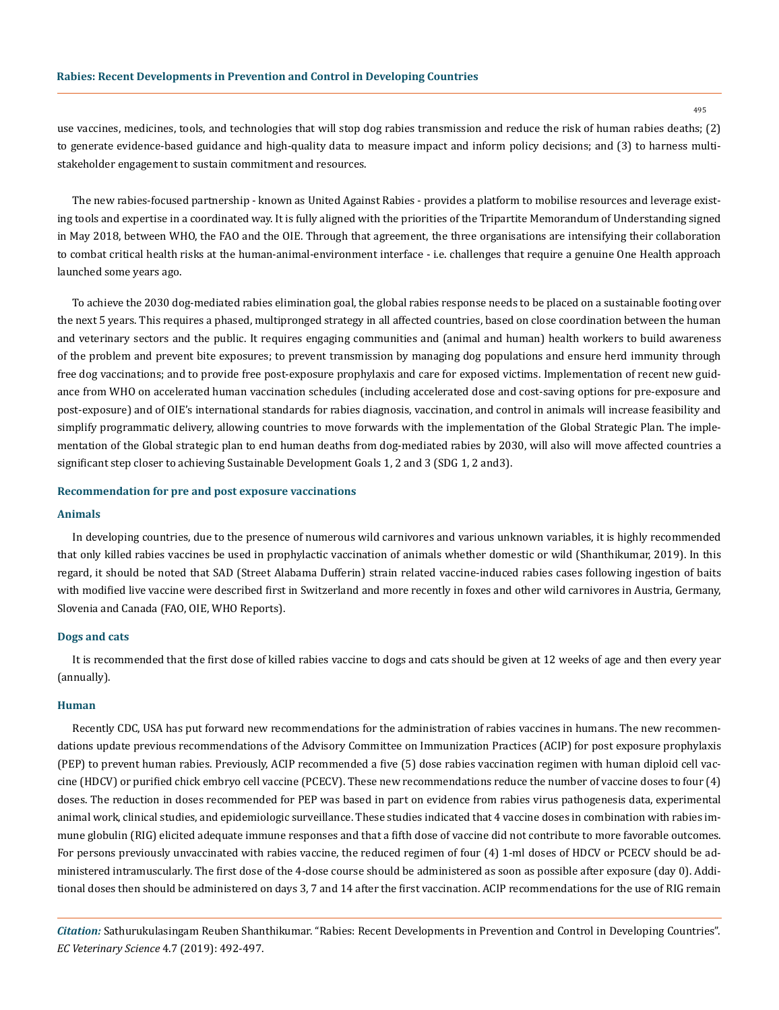use vaccines, medicines, tools, and technologies that will stop dog rabies transmission and reduce the risk of human rabies deaths; (2) to generate evidence-based guidance and high-quality data to measure impact and inform policy decisions; and (3) to harness multistakeholder engagement to sustain commitment and resources.

The new rabies-focused partnership - known as United Against Rabies - provides a platform to mobilise resources and leverage existing tools and expertise in a coordinated way. It is fully aligned with the priorities of the Tripartite Memorandum of Understanding signed in May 2018, between WHO, the FAO and the OIE. Through that agreement, the three organisations are intensifying their collaboration to combat critical health risks at the human-animal-environment interface - i.e. challenges that require a genuine One Health approach launched some years ago.

To achieve the 2030 dog-mediated rabies elimination goal, the global rabies response needs to be placed on a sustainable footing over the next 5 years. This requires a phased, multipronged strategy in all affected countries, based on close coordination between the human and veterinary sectors and the public. It requires engaging communities and (animal and human) health workers to build awareness of the problem and prevent bite exposures; to prevent transmission by managing dog populations and ensure herd immunity through free dog vaccinations; and to provide free post-exposure prophylaxis and care for exposed victims. Implementation of recent new guidance from WHO on accelerated human vaccination schedules (including accelerated dose and cost-saving options for pre-exposure and post-exposure) and of OIE's international standards for rabies diagnosis, vaccination, and control in animals will increase feasibility and simplify programmatic delivery, allowing countries to move forwards with the implementation of the Global Strategic Plan. The implementation of the Global strategic plan to end human deaths from dog-mediated rabies by 2030, will also will move affected countries a significant step closer to achieving Sustainable Development Goals 1, 2 and 3 (SDG 1, 2 and3).

# **Recommendation for pre and post exposure vaccinations**

#### **Animals**

In developing countries, due to the presence of numerous wild carnivores and various unknown variables, it is highly recommended that only killed rabies vaccines be used in prophylactic vaccination of animals whether domestic or wild (Shanthikumar, 2019). In this regard, it should be noted that SAD (Street Alabama Dufferin) strain related vaccine-induced rabies cases following ingestion of baits with modified live vaccine were described first in Switzerland and more recently in foxes and other wild carnivores in Austria, Germany, Slovenia and Canada (FAO, OIE, WHO Reports).

#### **Dogs and cats**

It is recommended that the first dose of killed rabies vaccine to dogs and cats should be given at 12 weeks of age and then every year (annually).

#### **Human**

Recently CDC, USA has put forward new recommendations for the administration of rabies vaccines in humans. The new recommendations update previous recommendations of the Advisory Committee on Immunization Practices (ACIP) for post exposure prophylaxis (PEP) to prevent human rabies. Previously, ACIP recommended a five (5) dose rabies vaccination regimen with human diploid cell vaccine (HDCV) or purified chick embryo cell vaccine (PCECV). These new recommendations reduce the number of vaccine doses to four (4) doses. The reduction in doses recommended for PEP was based in part on evidence from rabies virus pathogenesis data, experimental animal work, clinical studies, and epidemiologic surveillance. These studies indicated that 4 vaccine doses in combination with rabies immune globulin (RIG) elicited adequate immune responses and that a fifth dose of vaccine did not contribute to more favorable outcomes. For persons previously unvaccinated with rabies vaccine, the reduced regimen of four (4) 1-ml doses of HDCV or PCECV should be administered intramuscularly. The first dose of the 4-dose course should be administered as soon as possible after exposure (day 0). Additional doses then should be administered on days 3, 7 and 14 after the first vaccination. ACIP recommendations for the use of RIG remain

*Citation:* Sathurukulasingam Reuben Shanthikumar. "Rabies: Recent Developments in Prevention and Control in Developing Countries". *EC Veterinary Science* 4.7 (2019): 492-497.

495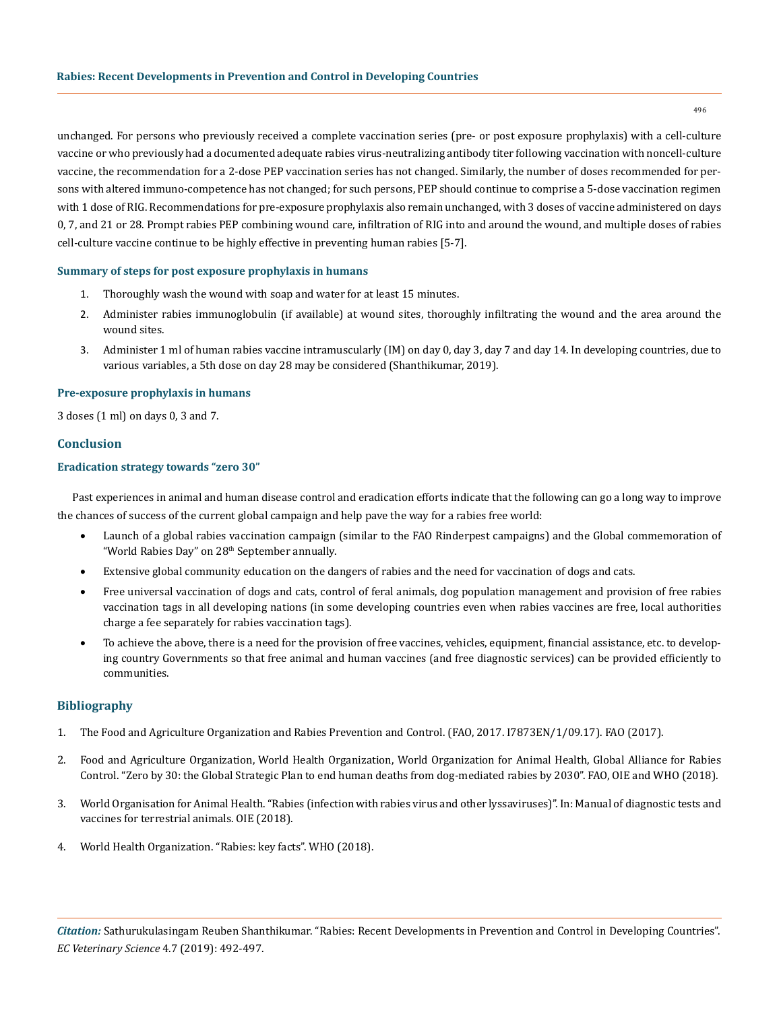unchanged. For persons who previously received a complete vaccination series (pre- or post exposure prophylaxis) with a cell-culture vaccine or who previously had a documented adequate rabies virus-neutralizing antibody titer following vaccination with noncell-culture vaccine, the recommendation for a 2-dose PEP vaccination series has not changed. Similarly, the number of doses recommended for persons with altered immuno-competence has not changed; for such persons, PEP should continue to comprise a 5-dose vaccination regimen with 1 dose of RIG. Recommendations for pre-exposure prophylaxis also remain unchanged, with 3 doses of vaccine administered on days 0, 7, and 21 or 28. Prompt rabies PEP combining wound care, infiltration of RIG into and around the wound, and multiple doses of rabies cell-culture vaccine continue to be highly effective in preventing human rabies [5-7].

## **Summary of steps for post exposure prophylaxis in humans**

- 1. Thoroughly wash the wound with soap and water for at least 15 minutes.
- 2. Administer rabies immunoglobulin (if available) at wound sites, thoroughly infiltrating the wound and the area around the wound sites.
- 3. Administer 1 ml of human rabies vaccine intramuscularly (IM) on day 0, day 3, day 7 and day 14. In developing countries, due to various variables, a 5th dose on day 28 may be considered (Shanthikumar, 2019).

## **Pre-exposure prophylaxis in humans**

3 doses (1 ml) on days 0, 3 and 7.

# **Conclusion**

## **Eradication strategy towards "zero 30"**

Past experiences in animal and human disease control and eradication efforts indicate that the following can go a long way to improve the chances of success of the current global campaign and help pave the way for a rabies free world:

- Launch of a global rabies vaccination campaign (similar to the FAO Rinderpest campaigns) and the Global commemoration of "World Rabies Day" on 28th September annually.
- Extensive global community education on the dangers of rabies and the need for vaccination of dogs and cats.
- Free universal vaccination of dogs and cats, control of feral animals, dog population management and provision of free rabies vaccination tags in all developing nations (in some developing countries even when rabies vaccines are free, local authorities charge a fee separately for rabies vaccination tags).
- To achieve the above, there is a need for the provision of free vaccines, vehicles, equipment, financial assistance, etc. to developing country Governments so that free animal and human vaccines (and free diagnostic services) can be provided efficiently to communities.

# **Bibliography**

- 1. [The Food and Agriculture Organization and Rabies Prevention and Control. \(FAO, 2017. I7873EN/1/09.17\). FAO \(2017\).](http://www.fao.org/3/a-i7873e.pdf)
- 2. [Food and Agriculture Organization, World Health Organization, World Organization for Animal Health, Global Alliance for Rabies](https://www.who.int/rabies/Executive_summary_draft_V3_wlogo.pdf)  [Control. "Zero by 30: the Global Strategic Plan to end human deaths from dog-mediated rabies by 2030". FAO, OIE and WHO \(2018\).](https://www.who.int/rabies/Executive_summary_draft_V3_wlogo.pdf)
- 3. [World Organisation for Animal Health. "Rabies \(infection with rabies virus and other lyssaviruses\)". In: Manual of diagnostic tests and](https://www.oie.int/fileadmin/Home/eng/Health_standards/tahm/pdf/2.01.13_RABIES.pdf) [vaccines for terrestrial animals. OIE \(2018\).](https://www.oie.int/fileadmin/Home/eng/Health_standards/tahm/pdf/2.01.13_RABIES.pdf)
- 4. [World Health Organization. "Rabies: key facts". WHO \(2018\).](https://www.who.int/news-room/fact-sheets/detail/rabies)

496